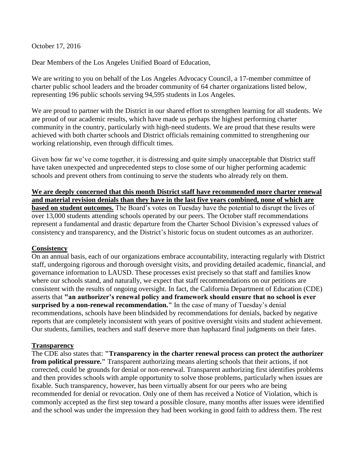October 17, 2016

Dear Members of the Los Angeles Unified Board of Education,

We are writing to you on behalf of the Los Angeles Advocacy Council, a 17-member committee of charter public school leaders and the broader community of 64 charter organizations listed below, representing 196 public schools serving 94,595 students in Los Angeles.

We are proud to partner with the District in our shared effort to strengthen learning for all students. We are proud of our academic results, which have made us perhaps the highest performing charter community in the country, particularly with high-need students. We are proud that these results were achieved with both charter schools and District officials remaining committed to strengthening our working relationship, even through difficult times.

Given how far we've come together, it is distressing and quite simply unacceptable that District staff have taken unexpected and unprecedented steps to close some of our higher performing academic schools and prevent others from continuing to serve the students who already rely on them.

**We are deeply concerned that this month District staff have recommended more charter renewal and material revision denials than they have in the last five years combined, none of which are based on student outcomes.** The Board's votes on Tuesday have the potential to disrupt the lives of over 13,000 students attending schools operated by our peers. The October staff recommendations represent a fundamental and drastic departure from the Charter School Division's expressed values of consistency and transparency, and the District's historic focus on student outcomes as an authorizer.

## **Consistency**

On an annual basis, each of our organizations embrace accountability, interacting regularly with District staff, undergoing rigorous and thorough oversight visits, and providing detailed academic, financial, and governance information to LAUSD. These processes exist precisely so that staff and families know where our schools stand, and naturally, we expect that staff recommendations on our petitions are consistent with the results of ongoing oversight. In fact, the California Department of Education (CDE) asserts that **"an authorizer's renewal policy and framework should ensure that no school is ever surprised by a non-renewal recommendation."** In the case of many of Tuesday's denial recommendations, schools have been blindsided by recommendations for denials, backed by negative reports that are completely inconsistent with years of positive oversight visits and student achievement. Our students, families, teachers and staff deserve more than haphazard final judgments on their fates.

## **Transparency**

The CDE also states that: **"Transparency in the charter renewal process can protect the authorizer from political pressure."** Transparent authorizing means alerting schools that their actions, if not corrected, could be grounds for denial or non-renewal. Transparent authorizing first identifies problems and then provides schools with ample opportunity to solve those problems, particularly when issues are fixable. Such transparency, however, has been virtually absent for our peers who are being recommended for denial or revocation. Only one of them has received a Notice of Violation, which is commonly accepted as the first step toward a possible closure, many months after issues were identified and the school was under the impression they had been working in good faith to address them. The rest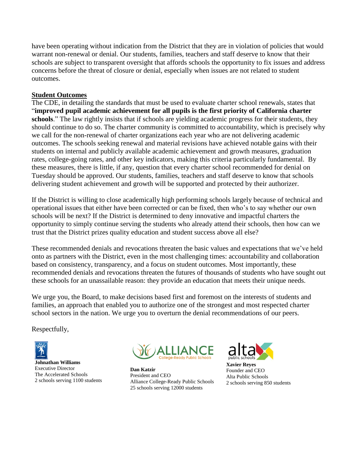have been operating without indication from the District that they are in violation of policies that would warrant non-renewal or denial. Our students, families, teachers and staff deserve to know that their schools are subject to transparent oversight that affords schools the opportunity to fix issues and address concerns before the threat of closure or denial, especially when issues are not related to student outcomes.

# **Student Outcomes**

The CDE, in detailing the standards that must be used to evaluate charter school renewals, states that "**improved pupil academic achievement for all pupils is the first priority of California charter schools**." The law rightly insists that if schools are yielding academic progress for their students, they should continue to do so. The charter community is committed to accountability, which is precisely why we call for the non-renewal of charter organizations each year who are not delivering academic outcomes. The schools seeking renewal and material revisions have achieved notable gains with their students on internal and publicly available academic achievement and growth measures, graduation rates, college-going rates, and other key indicators, making this criteria particularly fundamental. By these measures, there is little, if any, question that every charter school recommended for denial on Tuesday should be approved. Our students, families, teachers and staff deserve to know that schools delivering student achievement and growth will be supported and protected by their authorizer.

If the District is willing to close academically high performing schools largely because of technical and operational issues that either have been corrected or can be fixed, then who's to say whether our own schools will be next? If the District is determined to deny innovative and impactful charters the opportunity to simply continue serving the students who already attend their schools, then how can we trust that the District prizes quality education and student success above all else?

These recommended denials and revocations threaten the basic values and expectations that we've held onto as partners with the District, even in the most challenging times: accountability and collaboration based on consistency, transparency, and a focus on student outcomes. Most importantly, these recommended denials and revocations threaten the futures of thousands of students who have sought out these schools for an unassailable reason: they provide an education that meets their unique needs.

We urge you, the Board, to make decisions based first and foremost on the interests of students and families, an approach that enabled you to authorize one of the strongest and most respected charter school sectors in the nation. We urge you to overturn the denial recommendations of our peers.

Respectfully,





**Dan Katzir** President and CEO Alliance College-Ready Public Schools 25 schools serving 12000 students



**Xavier Reyes** Founder and CEO Alta Public Schools 2 schools serving 850 students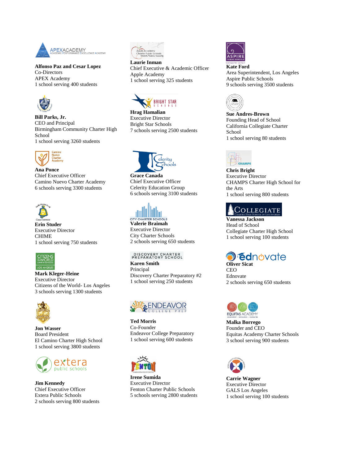

**Alfonso Paz and Cesar Lopez** Co-Directors APEX Academy 1 school serving 400 students



**Bill Parks, Jr.** CEO and Principal Birmingham Community Charter High School 1 school serving 3260 students



**Ana Ponce** Chief Executive Officer Camino Nuevo Charter Academy 6 schools serving 3300 students



**Erin Studer** Executive Director CHIME 1 school serving 750 students



**Mark Kleger-Heine** Executive Director Citizens of the World- Los Angeles 3 schools serving 1300 students



**Jon Wasser**  Board President El Camino Charter High School 1 school serving 3800 students



**Jim Kennedy** Chief Executive Officer Extera Public Schools 2 schools serving 800 students



**Laurie Inman** Chief Executive & Academic Officer Apple Academy 1 school serving 325 students



**Hrag Hamalian** Executive Director Bright Star Schools 7 schools serving 2500 students



**Grace Canada** Chief Executive Officer Celerity Education Group 6 schools serving 3100 students

**Valerie Braimah** Executive Director City Charter Schools 2 schools serving 650 students

## DISCOVERY CHARTER<br>PREPARATORY SCHOOL

**Karen Smith** Principal Discovery Charter Preparatory #2 1 school serving 250 students



**Ted Morris** Co-Founder Endeavor College Preparatory 1 school serving 600 students



**Irene Sumida** Executive Director Fenton Charter Public Schools 5 schools serving 2800 students



**Kate Ford** Area Superintendent, Los Angeles Aspire Public Schools 9 schools serving 3500 students



**Sue Andres-Brown** Founding Head of School California Collegiate Charter School 1 school serving 80 students



**Chris Bright** Executive Director CHAMPS Charter High School for the Arts 1 school serving 800 students

# COLLEGIATE

**Vanessa Jackson** Head of School Collegiate Charter High School 1 school serving 100 students



**CEO** Ednovate 2 schools serving 650 students



**Malka Borrego** Founder and CEO Equitas Academy Charter Schools 3 school serving 900 students



**Carrie Wagner** Executive Director GALS Los Angeles 1 school serving 100 students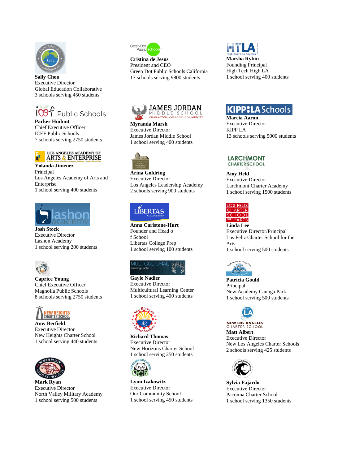

**Sally Chou** Executive Director Global Education Collaborative 3 schools serving 450 students



**Parker Hudnut** Chief Executive Officer ICEF Public Schools 7 schools serving 2750 students



**Yolanda Jimenez** Principal Los Angeles Academy of Arts and Enterprise 1 school serving 400 students



**Josh Stock** Executive Director Lashon Academy 1 school serving 200 students



**Caprice Young** Chief Executive Officer Magnolia Public Schools 8 schools serving 2750 students



**Amy Berfield** Executive Director New Heights Charter School 1 school serving 440 students



**Mark Ryan** Executive Director North Valley Military Academy 1 school serving 500 students



**Cristina de Jesus** President and CEO Green Dot Public Schools California 17 schools serving 9800 students





**Myranda Marsh** Executive Director James Jordan Middle School 1 school serving 400 students



**Arina Goldring** Executive Director Los Angeles Leadership Academy 2 schools serving 900 students

# LÍBERTAS

**Anna Carlstone-Hurt** Founder and Head o f School Libertas College Prep 1 school serving 100 students

#### **MULTICULTURAI** ing Cent

**Gayle Nadler** Executive Director Multicultural Learning Center 1 school serving 400 students



**Richard Thomas** Executive Director New Horizons Charter School 1 school serving 250 students



**Lynn Izakowitz** Executive Director Our Community School 1 school serving 450 students **KIPP:LASchools** 

**Marcia Aaron**  Executive Director KIPP LA 13 schools serving 5000 students

### **LARCHMONT CHARTER SCHOOL**

**Amy Held** Executive Director Larchmont Charter Academy 1 school serving 1500 students



**Linda Lee** Executive Director/Principal Los Feliz Charter School for the Arts 1 school serving 500 students



**Patricia Gould** Principal New Academy Canoga Park 1 school serving 500 students



**NEW LOS ANGELES CHARTER SCHOOL Matt Albert** Executive Director New Los Angeles Charter Schools 2 schools serving 425 students



**Sylvia Fajardo** Executive Director Pacoima Charter School 1 school serving 1350 students